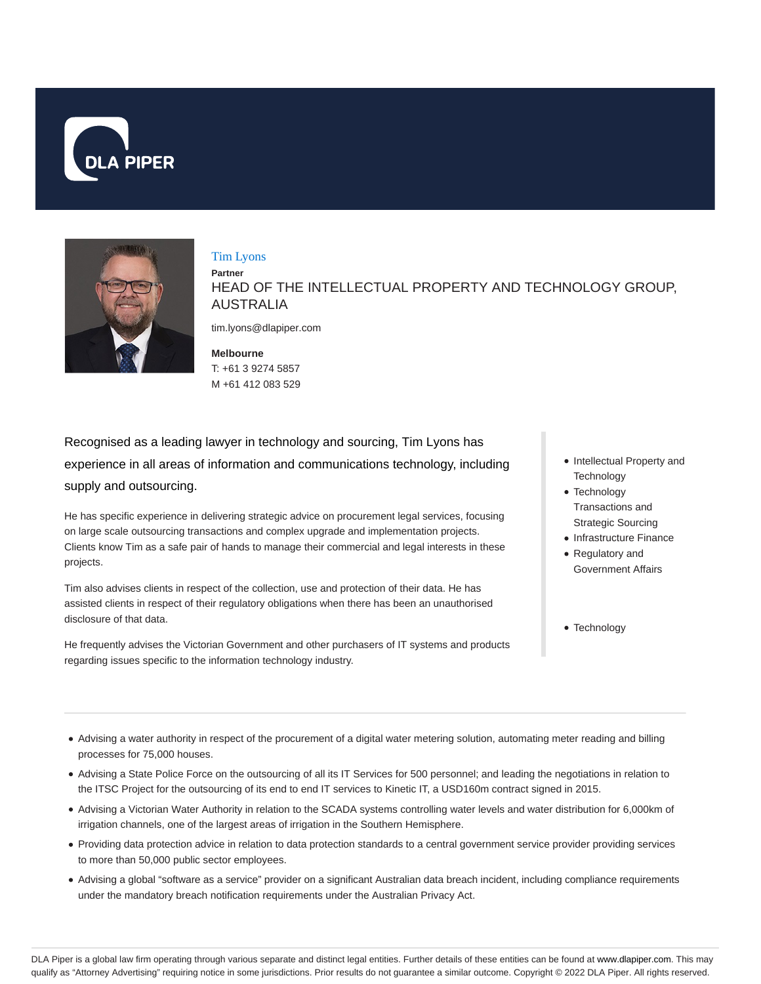



#### Tim Lyons

**Partner** HEAD OF THE INTELLECTUAL PROPERTY AND TECHNOLOGY GROUP, AUSTRALIA

tim.lyons@dlapiper.com

**Melbourne** T: +61 3 9274 5857 M +61 412 083 529

Recognised as a leading lawyer in technology and sourcing, Tim Lyons has experience in all areas of information and communications technology, including supply and outsourcing.

He has specific experience in delivering strategic advice on procurement legal services, focusing on large scale outsourcing transactions and complex upgrade and implementation projects. Clients know Tim as a safe pair of hands to manage their commercial and legal interests in these projects.

Tim also advises clients in respect of the collection, use and protection of their data. He has assisted clients in respect of their regulatory obligations when there has been an unauthorised disclosure of that data.

He frequently advises the Victorian Government and other purchasers of IT systems and products regarding issues specific to the information technology industry.

- Intellectual Property and **Technology**
- Technology Transactions and Strategic Sourcing
- Infrastructure Finance
- Regulatory and Government Affairs
- Technology

- Advising a water authority in respect of the procurement of a digital water metering solution, automating meter reading and billing processes for 75,000 houses.
- Advising a State Police Force on the outsourcing of all its IT Services for 500 personnel; and leading the negotiations in relation to the ITSC Project for the outsourcing of its end to end IT services to Kinetic IT, a USD160m contract signed in 2015.
- Advising a Victorian Water Authority in relation to the SCADA systems controlling water levels and water distribution for 6,000km of irrigation channels, one of the largest areas of irrigation in the Southern Hemisphere.
- Providing data protection advice in relation to data protection standards to a central government service provider providing services to more than 50,000 public sector employees.
- Advising a global "software as a service" provider on a significant Australian data breach incident, including compliance requirements under the mandatory breach notification requirements under the Australian Privacy Act.

DLA Piper is a global law firm operating through various separate and distinct legal entities. Further details of these entities can be found at www.dlapiper.com. This may qualify as "Attorney Advertising" requiring notice in some jurisdictions. Prior results do not guarantee a similar outcome. Copyright © 2022 DLA Piper. All rights reserved.